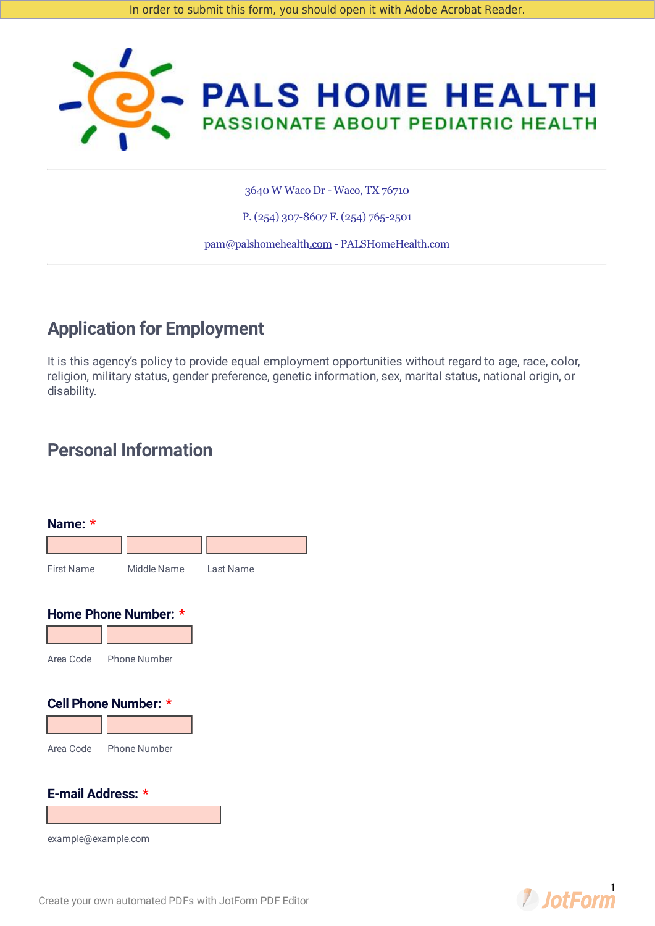

3640 W Waco Dr - Waco, TX 76710

P. (254) 307-8607 F. (254) 765-2501

pam@palshomehealth.com - PALSHomeHealth.com

# **Application for Employment**

It is this agency's policy to provide equal employment opportunities without regard to age, race, color, religion, military status, gender preference, genetic information, sex, marital status, national origin, or disability.

# **Personal Information**

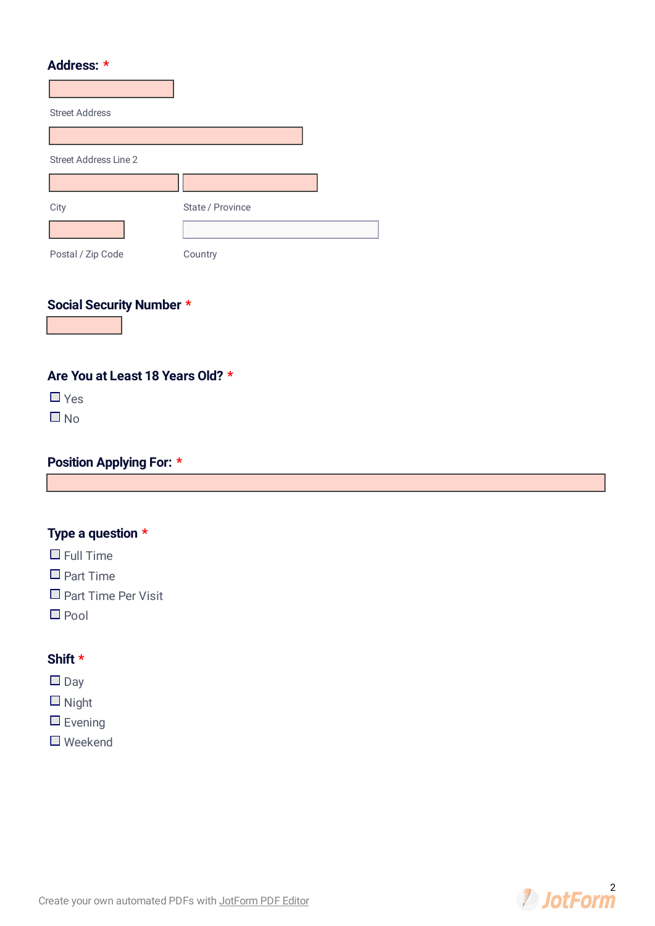#### **Address: \***

| <b>Street Address</b>        |                  |  |
|------------------------------|------------------|--|
|                              |                  |  |
| <b>Street Address Line 2</b> |                  |  |
|                              |                  |  |
| City                         | State / Province |  |
|                              |                  |  |
| Postal / Zip Code            | Country          |  |

## **Social Security Number \***

**Are You at Least 18 Years Old? \***

 $\Box$  Yes

 $\Box$  No

#### **Position Applying For: \***

## **Type a question \***

- $\Box$  Full Time
- $\Box$  Part Time
- $\Box$  Part Time Per Visit
- $\Box$  Pool

#### **Shift \***

 $\Box$  Day

 $\Box$  Night

- $\Box$  Evening
- Weekend

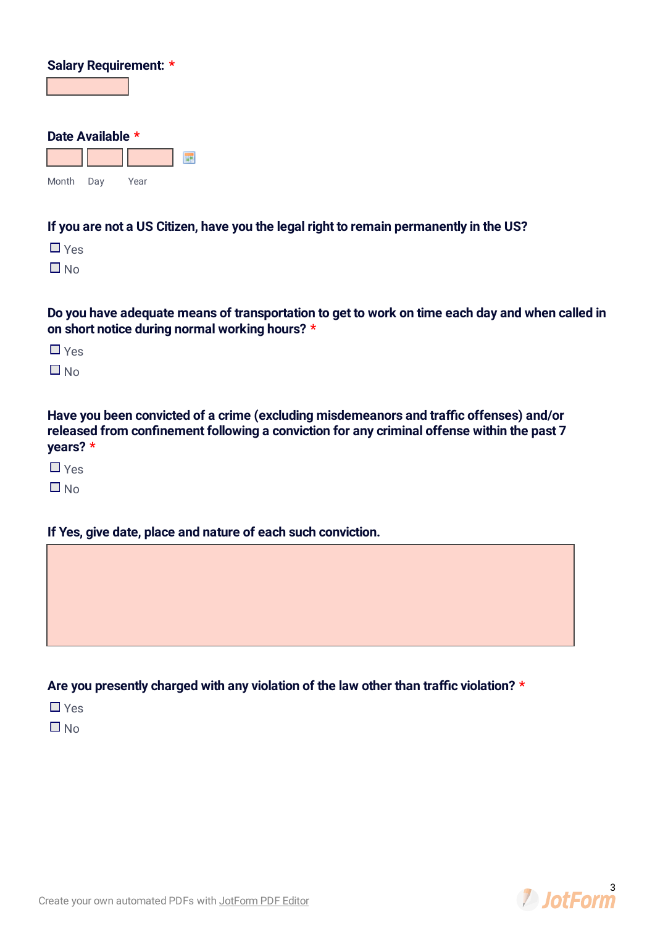| Salary Requirement: * |                  |      |  |
|-----------------------|------------------|------|--|
|                       |                  |      |  |
|                       |                  |      |  |
|                       | Date Available * |      |  |
|                       |                  |      |  |
| Month                 | Day              | Year |  |

#### **If you are not a US Citizen, have you the legal right to remain permanently in the US?**

 $\Box$  Yes

 $\Box$  No

Do you have adequate means of transportation to get to work on time each day and when called in **on short notice during normal working hours? \***

Yes

 $\Box$  No.

**Have you been convicted of a crime (excluding misdemeanors and trac offenses) and/or released** from confinement following a conviction for any criminal offense within the past 7 **years? \***

 $\Box$  Yes

 $\Box$  No

**If Yes, give date, place and nature of each such conviction.**

**Are you presently charged with any violation of the law other than trac violation? \***

 $\Box$  Yes

 $\Box$  No

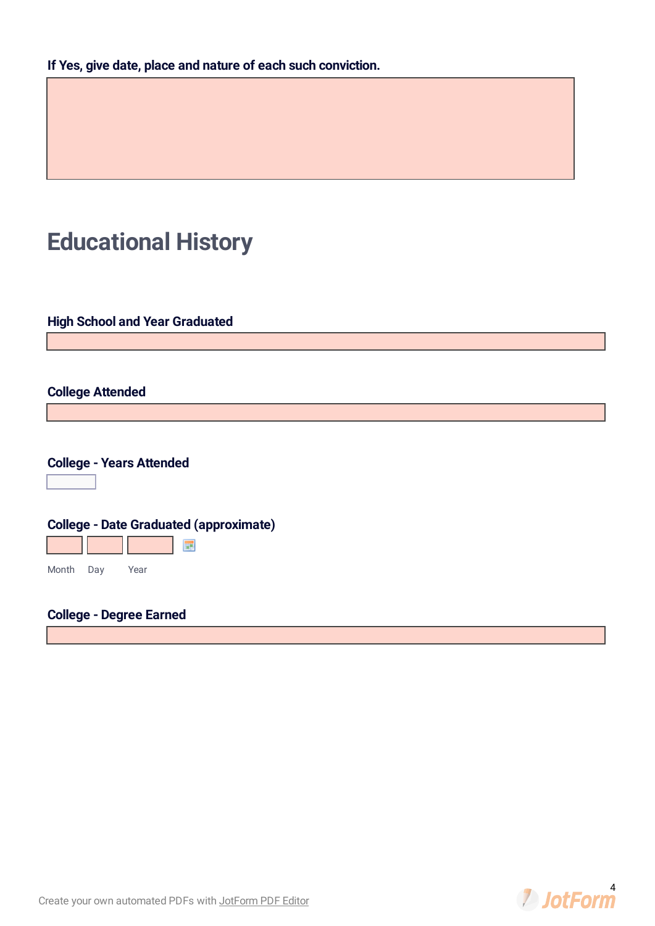# **Educational History**

**High School and Year Graduated**

#### **College Attended**

|  | <b>College - Years Attended</b> |
|--|---------------------------------|
|--|---------------------------------|

 $\boxed{\blacksquare}$ 

| <b>College - Date Graduated (approximate)</b> |  |      |
|-----------------------------------------------|--|------|
|                                               |  |      |
| Month Day                                     |  | Year |

## **College - Degree Earned**

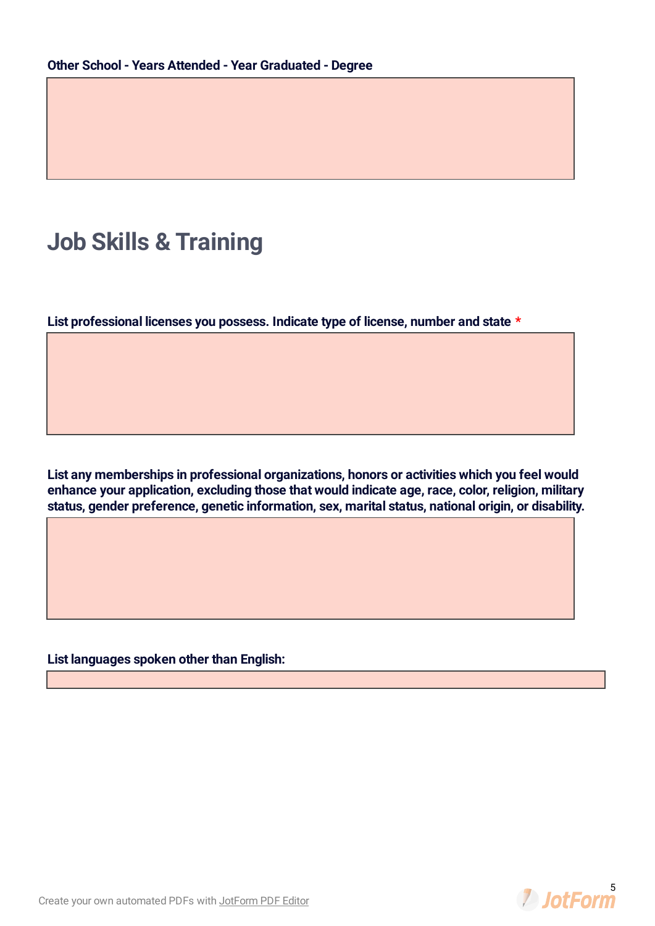# **Job Skills & Training**

**List professional licenses you possess. Indicate type of license, number and state \***

**List any memberships in professional organizations, honors or activities which you feel would enhance your application, excluding those that would indicate age, race, color, religion, military status, gender preference, genetic information, sex, marital status, national origin, or disability.**

**List languages spoken other than English:**

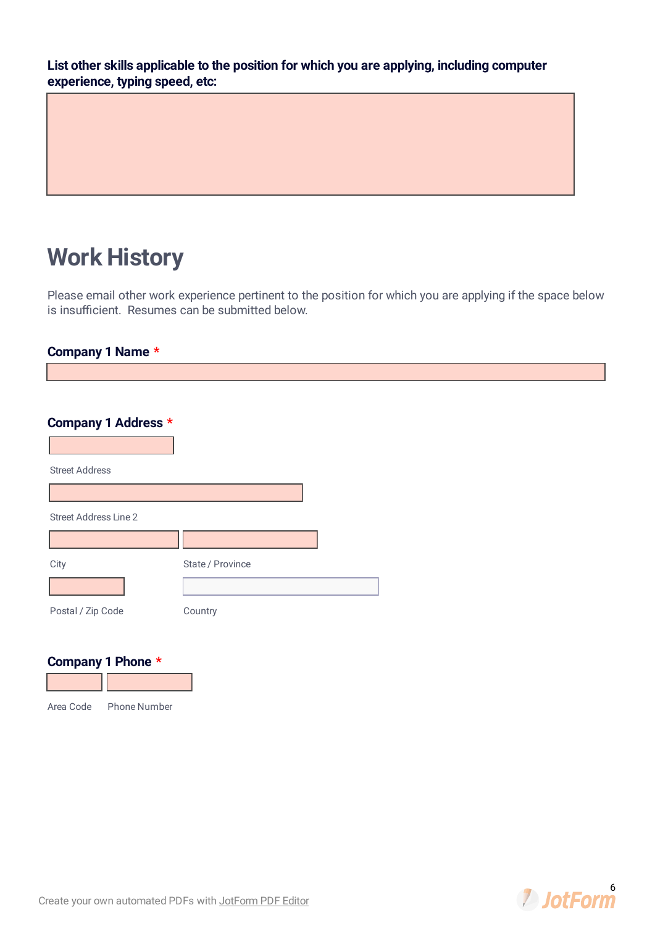**List other skills applicable to the position for which you are applying, including computer experience, typing speed, etc:**

# **Work History**

Please email other work experience pertinent to the position for which you are applying if the space below is insufficient. Resumes can be submitted below.

#### **Company 1 Name \***

| Company 1 Address *       |                  |                  |  |
|---------------------------|------------------|------------------|--|
| <b>Street Address</b>     |                  |                  |  |
|                           |                  |                  |  |
| Street Address Line 2     |                  |                  |  |
|                           |                  |                  |  |
| City                      | State / Province | $\left  \right $ |  |
| Postal / Zip Code         | Country          |                  |  |
| Company 1 Phone *         |                  |                  |  |
| Area Code<br>Phone Number |                  |                  |  |

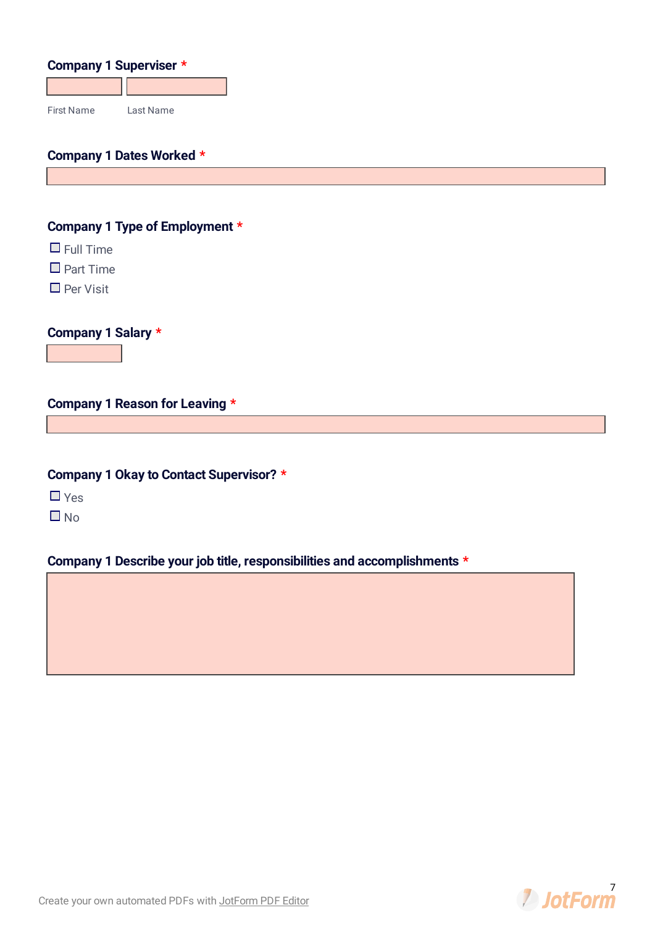| <b>Company 1 Superviser *</b> |           |
|-------------------------------|-----------|
|                               |           |
| <b>First Name</b>             | Last Name |

### **Company 1 Dates Worked \***

#### **Company 1 Type of Employment \***

 $\Box$  Full Time

 $\Box$  Part Time

 $\Box$  Per Visit

**Company 1 Salary \***

#### **Company 1 Reason for Leaving \***

**Company 1 Okay to Contact Supervisor? \***

 $\Box$  Yes

 $\Box$  No

#### **Company 1 Describe your job title, responsibilities and accomplishments \***

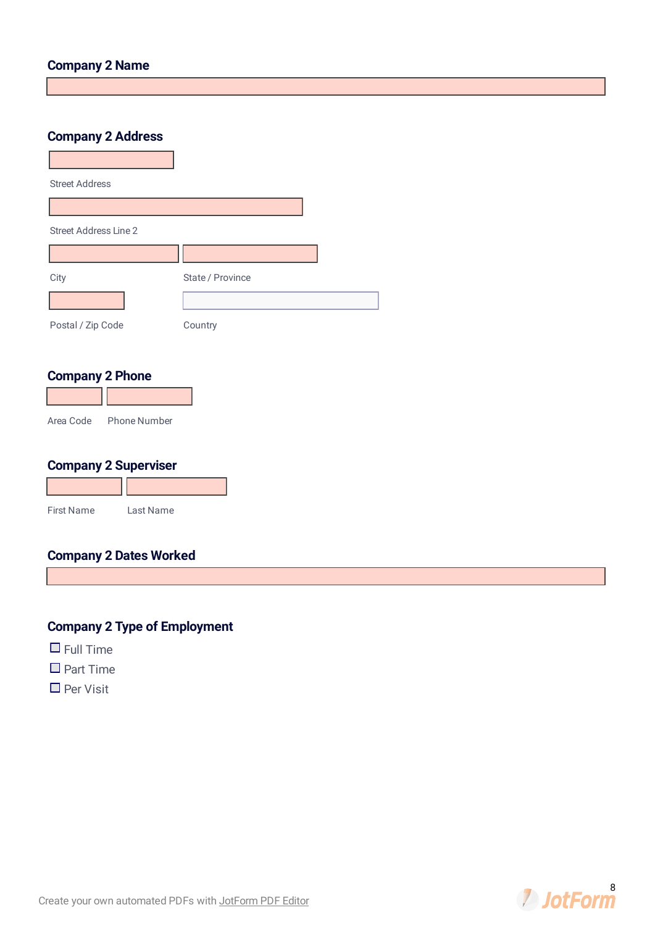#### **Company 2 Name**

#### **Company 2 Address**

| <b>Street Address</b>        |                  |  |
|------------------------------|------------------|--|
|                              |                  |  |
| <b>Street Address Line 2</b> |                  |  |
|                              |                  |  |
| City                         | State / Province |  |
|                              |                  |  |
| Postal / Zip Code            | Country          |  |

#### **Company 2 Phone**

**Contract Contract** 

| Area Code | Phone Number |
|-----------|--------------|

### **Company 2 Superviser**

| <b>First Name</b> | Last Name |
|-------------------|-----------|

#### **Company 2 Dates Worked**

## **Company 2 Type of Employment**

- $\Box$  Full Time
- $\square$  Part Time
- $\Box$  Per Visit

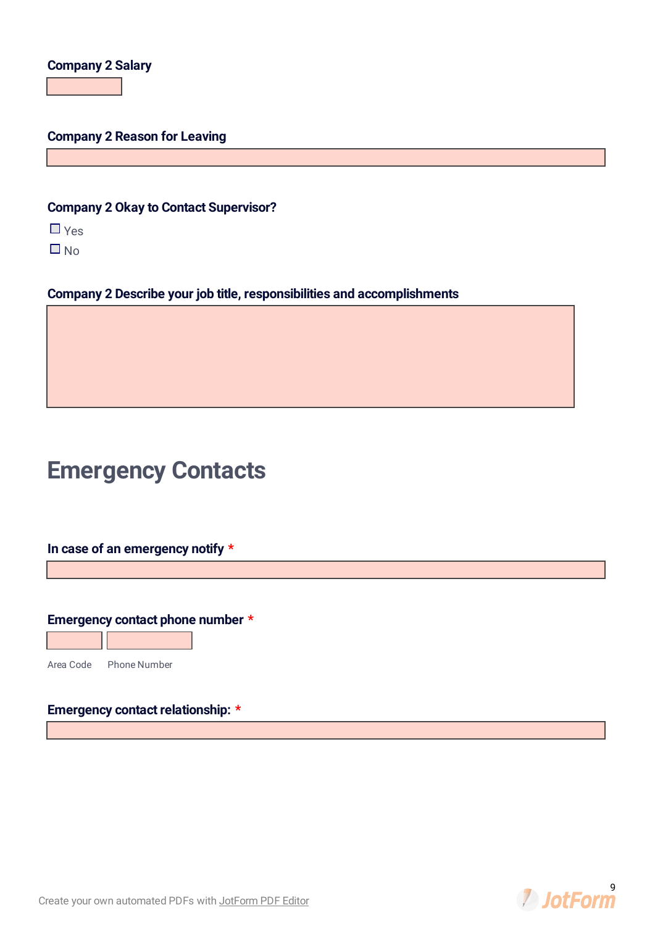#### **Company 2 Salary**

#### **Company 2 Reason for Leaving**

#### **Company 2 Okay to Contact Supervisor?**

 $\Box$  Yes

 $\Box$  No

**Company 2 Describe your job title, responsibilities and accomplishments**

# **Emergency Contacts**

**In case of an emergency notify \***

#### **Emergency contact phone number \***



Area Code Phone Number

#### **Emergency contact relationship: \***



**2** JotForm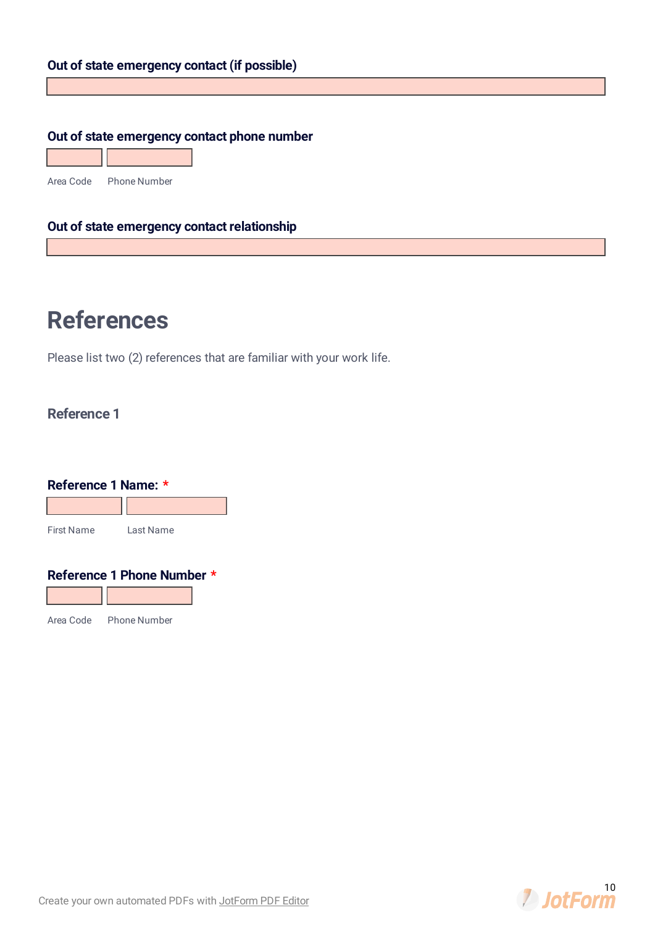#### **Out of state emergency contact (if possible)**

#### **Out of state emergency contact phone number**

Area Code Phone Number

#### **Out of state emergency contact relationship**

# **References**

Please list two (2) references that are familiar with your work life.

### **Reference 1**

| Reference 1 Name: * |                            |
|---------------------|----------------------------|
| First Name          | Last Name                  |
|                     | Reference 1 Phone Number * |

Area Code Phone Number

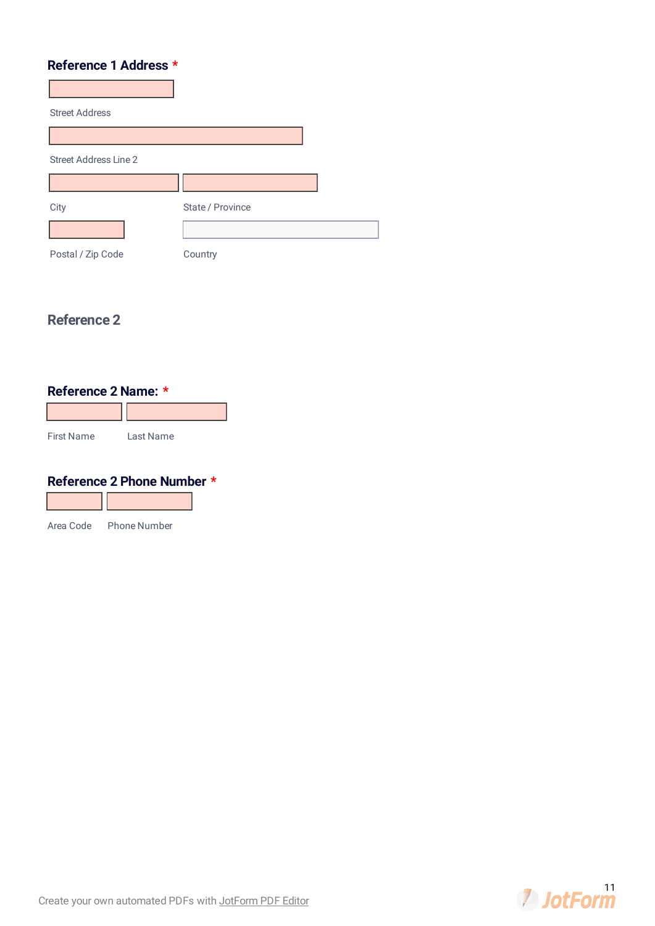#### **Reference 1 Address \***

| <b>Street Address</b>        |                  |  |
|------------------------------|------------------|--|
|                              |                  |  |
| <b>Street Address Line 2</b> |                  |  |
|                              |                  |  |
| City                         | State / Province |  |
|                              |                  |  |
| Postal / Zip Code            | Country          |  |

### **Reference 2**

## **Reference 2 Name: \***

| <b>First Name</b> | Last Name |
|-------------------|-----------|

#### **Reference 2 Phone Number \***